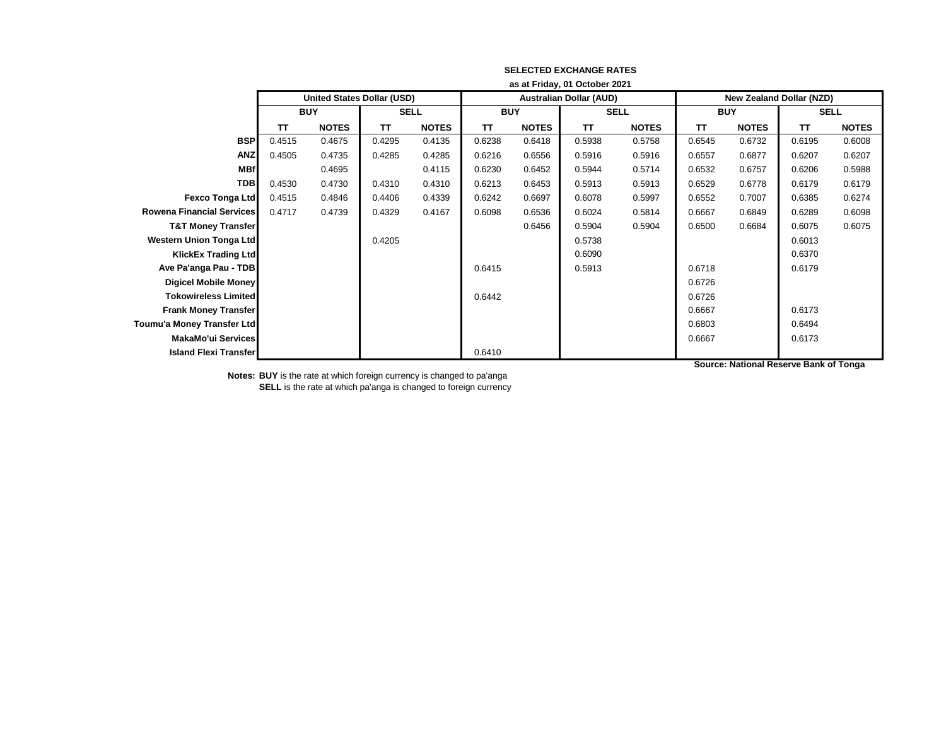|                                  | as at Friday, 01 October 2021     |              |             |              |            |              |                                |              |                                 |              |             |              |
|----------------------------------|-----------------------------------|--------------|-------------|--------------|------------|--------------|--------------------------------|--------------|---------------------------------|--------------|-------------|--------------|
|                                  | <b>United States Dollar (USD)</b> |              |             |              |            |              | <b>Australian Dollar (AUD)</b> |              | <b>New Zealand Dollar (NZD)</b> |              |             |              |
|                                  | <b>BUY</b>                        |              | <b>SELL</b> |              | <b>BUY</b> |              | <b>SELL</b>                    |              | <b>BUY</b>                      |              | <b>SELL</b> |              |
|                                  | TΤ                                | <b>NOTES</b> | TΤ          | <b>NOTES</b> | TΤ         | <b>NOTES</b> | <b>TT</b>                      | <b>NOTES</b> | TΤ                              | <b>NOTES</b> | TΤ          | <b>NOTES</b> |
| <b>BSP</b>                       | 0.4515                            | 0.4675       | 0.4295      | 0.4135       | 0.6238     | 0.6418       | 0.5938                         | 0.5758       | 0.6545                          | 0.6732       | 0.6195      | 0.6008       |
| <b>ANZ</b>                       | 0.4505                            | 0.4735       | 0.4285      | 0.4285       | 0.6216     | 0.6556       | 0.5916                         | 0.5916       | 0.6557                          | 0.6877       | 0.6207      | 0.6207       |
| <b>MBf</b>                       |                                   | 0.4695       |             | 0.4115       | 0.6230     | 0.6452       | 0.5944                         | 0.5714       | 0.6532                          | 0.6757       | 0.6206      | 0.5988       |
| <b>TDB</b>                       | 0.4530                            | 0.4730       | 0.4310      | 0.4310       | 0.6213     | 0.6453       | 0.5913                         | 0.5913       | 0.6529                          | 0.6778       | 0.6179      | 0.6179       |
| <b>Fexco Tonga Ltd</b>           | 0.4515                            | 0.4846       | 0.4406      | 0.4339       | 0.6242     | 0.6697       | 0.6078                         | 0.5997       | 0.6552                          | 0.7007       | 0.6385      | 0.6274       |
| <b>Rowena Financial Services</b> | 0.4717                            | 0.4739       | 0.4329      | 0.4167       | 0.6098     | 0.6536       | 0.6024                         | 0.5814       | 0.6667                          | 0.6849       | 0.6289      | 0.6098       |
| <b>T&amp;T Money Transfer</b>    |                                   |              |             |              |            | 0.6456       | 0.5904                         | 0.5904       | 0.6500                          | 0.6684       | 0.6075      | 0.6075       |
| <b>Western Union Tonga Ltd</b>   |                                   |              | 0.4205      |              |            |              | 0.5738                         |              |                                 |              | 0.6013      |              |
| <b>KlickEx Trading Ltd</b>       |                                   |              |             |              |            |              | 0.6090                         |              |                                 |              | 0.6370      |              |
| Ave Pa'anga Pau - TDB            |                                   |              |             |              | 0.6415     |              | 0.5913                         |              | 0.6718                          |              | 0.6179      |              |
| <b>Digicel Mobile Money</b>      |                                   |              |             |              |            |              |                                |              | 0.6726                          |              |             |              |
| <b>Tokowireless Limited</b>      |                                   |              |             |              | 0.6442     |              |                                |              | 0.6726                          |              |             |              |
| <b>Frank Money Transfer</b>      |                                   |              |             |              |            |              |                                |              | 0.6667                          |              | 0.6173      |              |
| Toumu'a Money Transfer Ltd       |                                   |              |             |              |            |              |                                |              | 0.6803                          |              | 0.6494      |              |
| MakaMo'ui Services               |                                   |              |             |              |            |              |                                |              | 0.6667                          |              | 0.6173      |              |
| <b>Island Flexi Transfer</b>     |                                   |              |             |              | 0.6410     |              |                                |              |                                 |              |             |              |

**Notes: BUY** is the rate at which foreign currency is changed to pa'anga **SELL** is the rate at which pa'anga is changed to foreign currency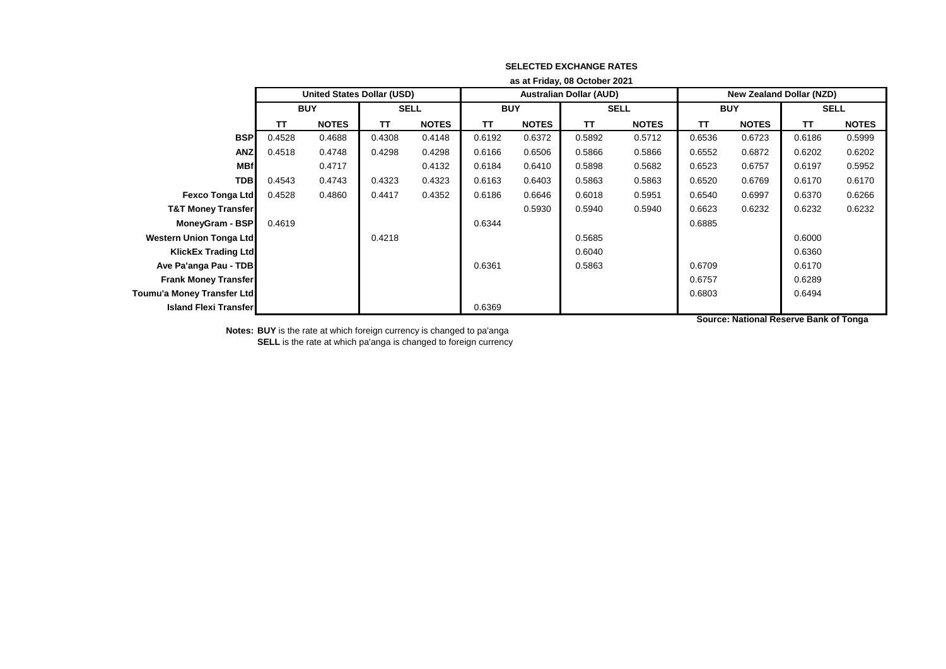|                                | as at Friday, 08 October 2021 |                                   |             |              |            |              |                                |              |                                 |              |             |              |
|--------------------------------|-------------------------------|-----------------------------------|-------------|--------------|------------|--------------|--------------------------------|--------------|---------------------------------|--------------|-------------|--------------|
|                                |                               | <b>United States Dollar (USD)</b> |             |              |            |              | <b>Australian Dollar (AUD)</b> |              | <b>New Zealand Dollar (NZD)</b> |              |             |              |
|                                | <b>BUY</b>                    |                                   | <b>SELL</b> |              | <b>BUY</b> |              | <b>SELL</b>                    |              | <b>BUY</b>                      |              | <b>SELL</b> |              |
|                                | TΤ                            | <b>NOTES</b>                      | <b>TT</b>   | <b>NOTES</b> | TΤ         | <b>NOTES</b> | TΤ                             | <b>NOTES</b> | TΤ                              | <b>NOTES</b> | <b>TT</b>   | <b>NOTES</b> |
| <b>BSP</b>                     | 0.4528                        | 0.4688                            | 0.4308      | 0.4148       | 0.6192     | 0.6372       | 0.5892                         | 0.5712       | 0.6536                          | 0.6723       | 0.6186      | 0.5999       |
| <b>ANZ</b>                     | 0.4518                        | 0.4748                            | 0.4298      | 0.4298       | 0.6166     | 0.6506       | 0.5866                         | 0.5866       | 0.6552                          | 0.6872       | 0.6202      | 0.6202       |
| <b>MBf</b>                     |                               | 0.4717                            |             | 0.4132       | 0.6184     | 0.6410       | 0.5898                         | 0.5682       | 0.6523                          | 0.6757       | 0.6197      | 0.5952       |
| <b>TDB</b>                     | 0.4543                        | 0.4743                            | 0.4323      | 0.4323       | 0.6163     | 0.6403       | 0.5863                         | 0.5863       | 0.6520                          | 0.6769       | 0.6170      | 0.6170       |
| Fexco Tonga Ltd                | 0.4528                        | 0.4860                            | 0.4417      | 0.4352       | 0.6186     | 0.6646       | 0.6018                         | 0.5951       | 0.6540                          | 0.6997       | 0.6370      | 0.6266       |
| <b>T&amp;T Money Transfer</b>  |                               |                                   |             |              |            | 0.5930       | 0.5940                         | 0.5940       | 0.6623                          | 0.6232       | 0.6232      | 0.6232       |
| MoneyGram - BSP                | 0.4619                        |                                   |             |              | 0.6344     |              |                                |              | 0.6885                          |              |             |              |
| <b>Western Union Tonga Ltd</b> |                               |                                   | 0.4218      |              |            |              | 0.5685                         |              |                                 |              | 0.6000      |              |
| <b>KlickEx Trading Ltd</b>     |                               |                                   |             |              |            |              | 0.6040                         |              |                                 |              | 0.6360      |              |
| Ave Pa'anga Pau - TDB          |                               |                                   |             |              | 0.6361     |              | 0.5863                         |              | 0.6709                          |              | 0.6170      |              |
| <b>Frank Money Transfer</b>    |                               |                                   |             |              |            |              |                                |              | 0.6757                          |              | 0.6289      |              |
| Toumu'a Money Transfer Ltd     |                               |                                   |             |              |            |              |                                |              | 0.6803                          |              | 0.6494      |              |
| <b>Island Flexi Transfer</b>   |                               |                                   |             |              | 0.6369     |              |                                |              |                                 |              |             |              |

**Notes: BUY** is the rate at which foreign currency is changed to pa'anga **SELL** is the rate at which pa'anga is changed to foreign currency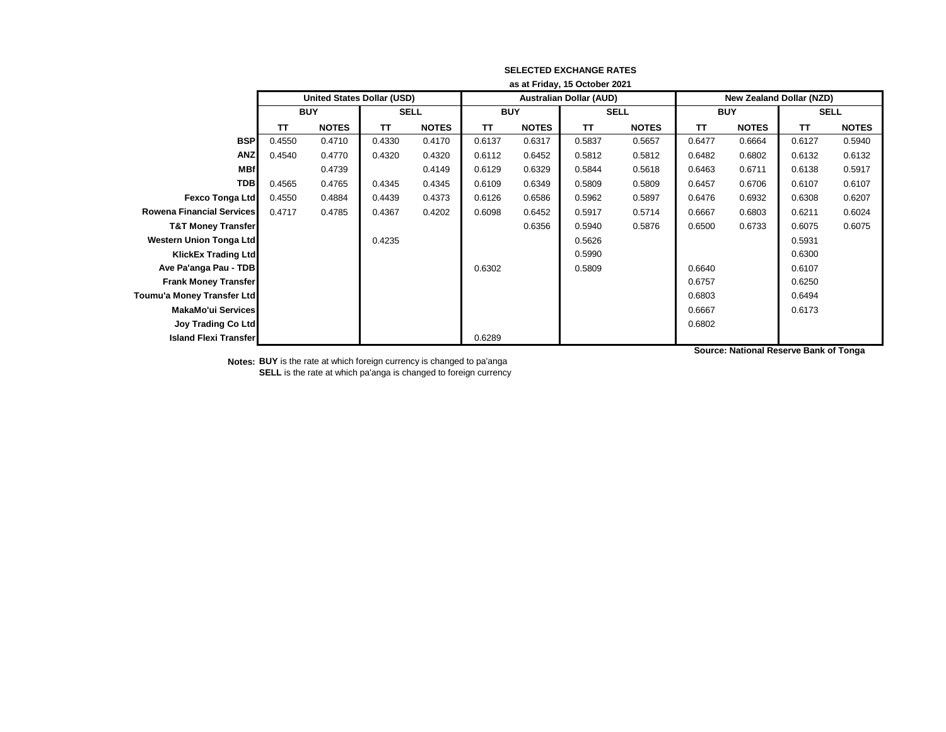|                                  | as at Friday, 15 October 2021 |                                   |             |              |            |              |                                |              |                                 |              |             |              |
|----------------------------------|-------------------------------|-----------------------------------|-------------|--------------|------------|--------------|--------------------------------|--------------|---------------------------------|--------------|-------------|--------------|
|                                  |                               | <b>United States Dollar (USD)</b> |             |              |            |              | <b>Australian Dollar (AUD)</b> |              | <b>New Zealand Dollar (NZD)</b> |              |             |              |
|                                  |                               | <b>BUY</b>                        | <b>SELL</b> |              | <b>BUY</b> |              | <b>SELL</b>                    |              | <b>BUY</b>                      |              | <b>SELL</b> |              |
|                                  | TΤ                            | <b>NOTES</b>                      | TΤ          | <b>NOTES</b> | TΤ         | <b>NOTES</b> | TΤ                             | <b>NOTES</b> | <b>TT</b>                       | <b>NOTES</b> | TΤ          | <b>NOTES</b> |
| <b>BSP</b>                       | 0.4550                        | 0.4710                            | 0.4330      | 0.4170       | 0.6137     | 0.6317       | 0.5837                         | 0.5657       | 0.6477                          | 0.6664       | 0.6127      | 0.5940       |
| <b>ANZ</b>                       | 0.4540                        | 0.4770                            | 0.4320      | 0.4320       | 0.6112     | 0.6452       | 0.5812                         | 0.5812       | 0.6482                          | 0.6802       | 0.6132      | 0.6132       |
| <b>MBf</b>                       |                               | 0.4739                            |             | 0.4149       | 0.6129     | 0.6329       | 0.5844                         | 0.5618       | 0.6463                          | 0.6711       | 0.6138      | 0.5917       |
| <b>TDB</b>                       | 0.4565                        | 0.4765                            | 0.4345      | 0.4345       | 0.6109     | 0.6349       | 0.5809                         | 0.5809       | 0.6457                          | 0.6706       | 0.6107      | 0.6107       |
| <b>Fexco Tonga Ltd</b>           | 0.4550                        | 0.4884                            | 0.4439      | 0.4373       | 0.6126     | 0.6586       | 0.5962                         | 0.5897       | 0.6476                          | 0.6932       | 0.6308      | 0.6207       |
| <b>Rowena Financial Services</b> | 0.4717                        | 0.4785                            | 0.4367      | 0.4202       | 0.6098     | 0.6452       | 0.5917                         | 0.5714       | 0.6667                          | 0.6803       | 0.6211      | 0.6024       |
| <b>T&amp;T Money Transfer</b>    |                               |                                   |             |              |            | 0.6356       | 0.5940                         | 0.5876       | 0.6500                          | 0.6733       | 0.6075      | 0.6075       |
| <b>Western Union Tonga Ltd</b>   |                               |                                   | 0.4235      |              |            |              | 0.5626                         |              |                                 |              | 0.5931      |              |
| <b>KlickEx Trading Ltd</b>       |                               |                                   |             |              |            |              | 0.5990                         |              |                                 |              | 0.6300      |              |
| Ave Pa'anga Pau - TDB            |                               |                                   |             |              | 0.6302     |              | 0.5809                         |              | 0.6640                          |              | 0.6107      |              |
| <b>Frank Money Transfer</b>      |                               |                                   |             |              |            |              |                                |              | 0.6757                          |              | 0.6250      |              |
| Toumu'a Money Transfer Ltd       |                               |                                   |             |              |            |              |                                |              | 0.6803                          |              | 0.6494      |              |
| <b>MakaMo'ui Services</b>        |                               |                                   |             |              |            |              |                                |              | 0.6667                          |              | 0.6173      |              |
| <b>Joy Trading Co Ltd</b>        |                               |                                   |             |              |            |              |                                |              | 0.6802                          |              |             |              |
| <b>Island Flexi Transfer</b>     |                               |                                   |             |              | 0.6289     |              |                                |              |                                 |              |             |              |

**Notes: BUY** is the rate at which foreign currency is changed to pa'anga **SELL** is the rate at which pa'anga is changed to foreign currency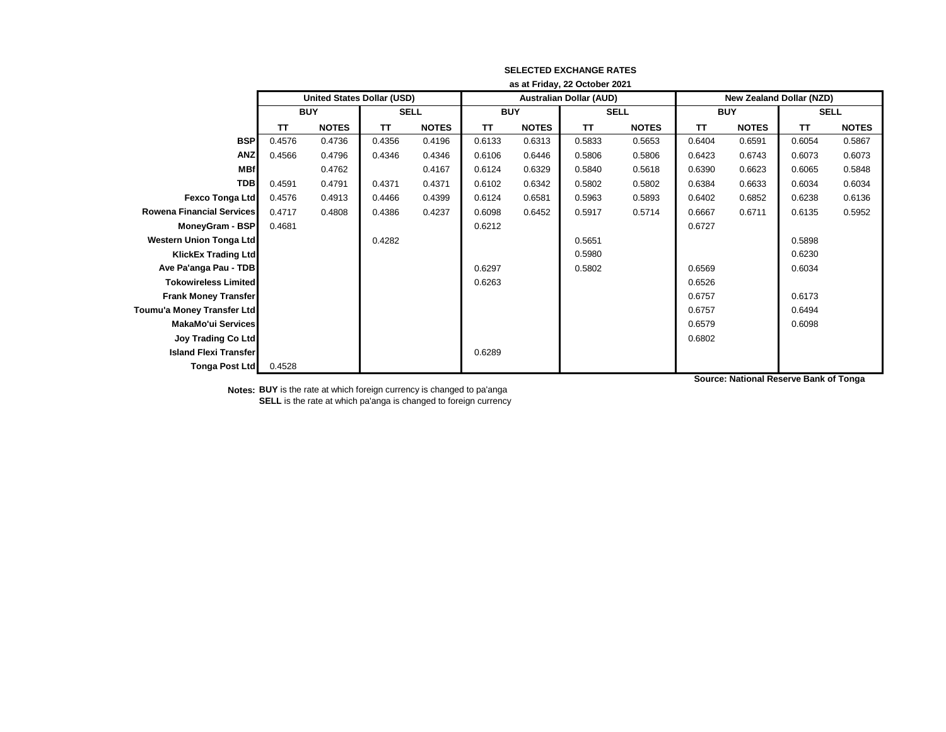|                                  | as at Friday, 22 October 2021 |                                   |             |              |            |              |                                |              |                                 |              |             |              |
|----------------------------------|-------------------------------|-----------------------------------|-------------|--------------|------------|--------------|--------------------------------|--------------|---------------------------------|--------------|-------------|--------------|
|                                  |                               | <b>United States Dollar (USD)</b> |             |              |            |              | <b>Australian Dollar (AUD)</b> |              | <b>New Zealand Dollar (NZD)</b> |              |             |              |
|                                  |                               | <b>BUY</b>                        | <b>SELL</b> |              | <b>BUY</b> |              | <b>SELL</b>                    |              | <b>BUY</b>                      |              | <b>SELL</b> |              |
|                                  | <b>TT</b>                     | <b>NOTES</b>                      | TΤ          | <b>NOTES</b> | TΤ         | <b>NOTES</b> | <b>TT</b>                      | <b>NOTES</b> | TΤ                              | <b>NOTES</b> | <b>TT</b>   | <b>NOTES</b> |
| <b>BSP</b>                       | 0.4576                        | 0.4736                            | 0.4356      | 0.4196       | 0.6133     | 0.6313       | 0.5833                         | 0.5653       | 0.6404                          | 0.6591       | 0.6054      | 0.5867       |
| <b>ANZ</b>                       | 0.4566                        | 0.4796                            | 0.4346      | 0.4346       | 0.6106     | 0.6446       | 0.5806                         | 0.5806       | 0.6423                          | 0.6743       | 0.6073      | 0.6073       |
| <b>MBf</b>                       |                               | 0.4762                            |             | 0.4167       | 0.6124     | 0.6329       | 0.5840                         | 0.5618       | 0.6390                          | 0.6623       | 0.6065      | 0.5848       |
| <b>TDB</b>                       | 0.4591                        | 0.4791                            | 0.4371      | 0.4371       | 0.6102     | 0.6342       | 0.5802                         | 0.5802       | 0.6384                          | 0.6633       | 0.6034      | 0.6034       |
| <b>Fexco Tonga Ltd</b>           | 0.4576                        | 0.4913                            | 0.4466      | 0.4399       | 0.6124     | 0.6581       | 0.5963                         | 0.5893       | 0.6402                          | 0.6852       | 0.6238      | 0.6136       |
| <b>Rowena Financial Services</b> | 0.4717                        | 0.4808                            | 0.4386      | 0.4237       | 0.6098     | 0.6452       | 0.5917                         | 0.5714       | 0.6667                          | 0.6711       | 0.6135      | 0.5952       |
| MoneyGram - BSP                  | 0.4681                        |                                   |             |              | 0.6212     |              |                                |              | 0.6727                          |              |             |              |
| <b>Western Union Tonga Ltd</b>   |                               |                                   | 0.4282      |              |            |              | 0.5651                         |              |                                 |              | 0.5898      |              |
| <b>KlickEx Trading Ltd</b>       |                               |                                   |             |              |            |              | 0.5980                         |              |                                 |              | 0.6230      |              |
| Ave Pa'anga Pau - TDB            |                               |                                   |             |              | 0.6297     |              | 0.5802                         |              | 0.6569                          |              | 0.6034      |              |
| <b>Tokowireless Limited</b>      |                               |                                   |             |              | 0.6263     |              |                                |              | 0.6526                          |              |             |              |
| <b>Frank Money Transfer</b>      |                               |                                   |             |              |            |              |                                |              | 0.6757                          |              | 0.6173      |              |
| Toumu'a Money Transfer Ltd       |                               |                                   |             |              |            |              |                                |              | 0.6757                          |              | 0.6494      |              |
| <b>MakaMo'ui Services</b>        |                               |                                   |             |              |            |              |                                |              | 0.6579                          |              | 0.6098      |              |
| <b>Joy Trading Co Ltd</b>        |                               |                                   |             |              |            |              |                                |              | 0.6802                          |              |             |              |
| <b>Island Flexi Transfer</b>     |                               |                                   |             |              | 0.6289     |              |                                |              |                                 |              |             |              |
| Tonga Post Ltd                   | 0.4528                        |                                   |             |              |            |              |                                |              |                                 |              |             |              |

**Notes: BUY** is the rate at which foreign currency is changed to pa'anga **SELL** is the rate at which pa'anga is changed to foreign currency